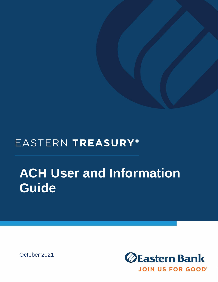## EASTERN TREASURY®

# **ACH User and Information Guide**

October 2021

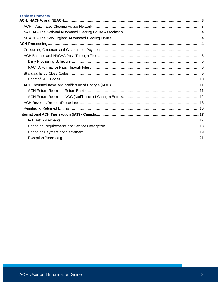#### **Table of Contents**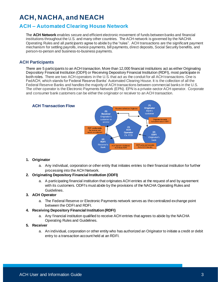## <span id="page-2-0"></span>**ACH, NACHA, and NEACH**

## <span id="page-2-1"></span>**ACH – Automated Clearing House Network**

The **ACH Network** enables secure and efficient electronic movement of funds between banks and financial institutions throughout the U.S. and many other countries. The ACH network is governed by the NACHA Operating Rules and all *participants* agree to abide by the "rules". ACH transactions are the significant payment mechanism for settling payrolls, invoice payments, bill payments, direct deposits, Social Security benefits, and person-to-person and business-to-business payments.

#### **ACH Participants**

There are 5 participants to an ACH transaction. More than 12,000 financial institutions act as either Originating Depository Financial Institution (ODFI) or Receiving Depository Financial Institution (RDFI), most participate in both roles. There are two ACH operators in the U.S. that act as the conduit for all ACH transactions. One is FedACH, which stands for Federal Reserve Banks' Automated Clearing House. It is the collection of all the Federal Reserve Banks and handles the majority of ACH transactions between commercial banks in the U.S. The other operator is the Electronic Payments Network (EPN). EPN is a private-sector ACH operator. Corporate and consumer bank customers can be either the originator or receiver to an ACH transaction.



#### **1. Originator**

a. Any individual, corporation or other entity that initiates entries to their financial institution for further processing into the ACH Network.

#### **2. Originating Depository Financial Institution (ODFI)**

a. A participating financial institution that originates ACH entries at the request of and by agreement with its customers. ODFI's must abide by the provisions of the NACHA Operating Rules and Guidelines.

#### **3. ACH Operator**

a. The Federal Reserve or Electronic Payments network serves as the centralized exchange point between the ODFI and RDFI.

#### **4. Receiving Depository Financial Institution (RDFI)**

a. Any financial institution qualified to receive ACH entries that agrees to abide by the NACHA Operating Rules and Guidelines.

#### **5. Receiver**

a. An individual, corporation or other entity who has authorized an Originator to initiate a credit or debit entry to a transaction account held at an RDFI.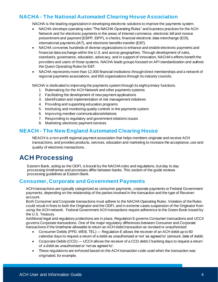## <span id="page-3-0"></span>**NACHA - The National Automated Clearing House Association**

NACHA is the leading organization in developing electronic solutions to improve the payments system.

- NACHA develops operating rules "The NACHA Operating Rules" and business practices for the ACH Network and for electronic payments in the areas of Internet commerce, electronic bill and invoice presentment and payment (EBPP, EIPP), e-checks, financial electronic data interchange (EDI), international payments (IAT), and electronic benefits transfer (EBT).
- NACHA convenes hundreds of diverse organizations to enhance and enable electronic payments and financial data exchange within the U.S. and across geographies. Through development of rules, standards, governance, education, advocacy, and in support of innovation, NACHA's efforts benefit the providers and users of those systems. NACHA leads groups focused on API standardization and authors the Quest Operating Rules for EBT.
- NACHA represents more than 12,000 financial institutions through direct memberships and a network of regional payments associations, and 650 organizations through its industry councils.

NACHA is dedicated to improving the payments system through its eight primary functions.

- 1. Rulemaking for the ACH Network and other payments systems
- 2. Facilitating the development of new payment applications
- 3. Identification and implementation of risk management initiatives
- 4. Providing and supporting education programs
- 5. Instituting and monitoring quality controls in the payments system
- 6. Improving member communications/relations
- 7. Responding to regulatory and government relations issues
- 8. Marketing electronic payment services

## <span id="page-3-1"></span>**NEACH - The New England Automated Clearing House**

NEACH is a non-profit regional payment association that helps members originate and receive ACH transactions, and provides products, services, education and marketing to increase the acceptance, use and quality of electronic transactions.

## <span id="page-3-2"></span>**ACH Processing**

Eastern Bank, acting as the ODFI, is bound by the NACHA rules and regulations, but day to day processing timeframes and processes differ between banks. This section of the guide reviews processing guidelines at Eastern Bank.

### <span id="page-3-3"></span>**Consumer, Corporate and Government Payments**

ACH transactions are typically categorized as consumer payments, corporate payments or Federal Government payments, depending on the relationship of the parties involved in the transaction and the type of Receiver account.

Both Consumer and Corporate transactions must adhere to the NACHA Operating Rules. Violation of the Rules could result in fines to both the Originator and the ODFI, and in extreme cases suspension of the Originator from using the ACH network. Federal Government ACH transactions require adherence to the Green Book issued by the U.S. Treasury.

Additional legal and regulatory protections are in place, Regulation E governs Consumer transactions and UCC4 governs Corporate transactions. One of the major regulatory differences between Consumer and Corporate transactions if the timeframe allowable to return an ACH debit transaction as revoked or unauthorized:

- Consumer Debits (PPD, WEB, TEL) Regulation E allows the receiver of an ACH debit up to 60 calendar days to request a return of a debit as unauthorized or not 'as agreed to' (amount, date of debit)
- Corporate Debits (CCD) UCC4 allows the receiver of a CCD debit 2 banking days to request a return of a debit as unauthorized or 'not as agreed to'.
- These regulations are enforced based on the ACH transaction code used when the transaction was originated, for example,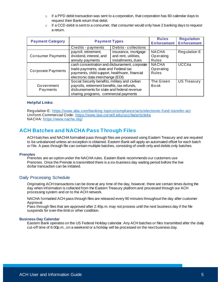- $\circ$  if a PPD debit transaction was sent to a corporation, that corporation has 60 calendar days to request their Bank return that debit.
- $\circ$  if a CCD debit is sent to a consumer, that consumer would only have 2 banking days to request a return.

| <b>Payment Category</b>  | <b>Payment Types</b>                                                                                                                                                                   | <b>Rules</b><br><b>Enforcement</b>                                | <b>Regulation</b><br><b>Enforcement</b>   |              |
|--------------------------|----------------------------------------------------------------------------------------------------------------------------------------------------------------------------------------|-------------------------------------------------------------------|-------------------------------------------|--------------|
|                          | Credits - payments                                                                                                                                                                     | Debits - collections                                              |                                           |              |
| <b>Consumer Payments</b> | payroll, retirement,<br>dividend, interest, and<br>annuity payments                                                                                                                    | insurance, mortgage<br>and rent, utilities,<br>installments, dues | <b>NACHA</b><br>Operating<br><b>Rules</b> | Regulation E |
| Corporate Payments       | cash concentration and disbursement, corporate<br>trade payments, state and Federal tax<br>payments, child support, healthcare, financial<br>electronic data interchange (EDI)         |                                                                   | <b>NACHA</b><br>Operating<br><b>Rules</b> | UCC4a        |
| Government<br>Payments   | Social Security benefits, military and civilian<br>payrolls, retirement benefits, tax refunds,<br>disbursements for state and federal revenue<br>sharing programs, commercial payments |                                                                   | The Green<br><b>Book</b>                  | US Treasury  |

#### **Helpful Links:**

Regulation E: <https://www.aba.com/banking-topics/compliance/acts/electronic-fund-transfer-act> Uniform Commercial Code: <https://www.law.cornell.edu/ucc/4a/article4a> NACHA[: https://www.nacha.org/](https://www.nacha.org/)

## <span id="page-4-0"></span>**ACH Batches and NACHA Pass Through Files**

ACH batches and NACHA formatted pass through files are processed using Eastern Treasury and are required to be unbalanced unless an exception is obtained. Eastern Bank will apply an automated offset for each batch or file. A pass through file can contain multiple batches, consisting of credit only and debits only batches.

#### **Prenotes**

Prenotes are an option under the NACHA rules. Eastern Bank recommends our customers use Prenotes. Once the Prenote is transmitted there is a six-business day waiting period before the live dollar transaction can be initiated.

#### <span id="page-4-1"></span>Daily Processing Schedule

Originating ACH transactions can be done at any time of the day, however, there are certain times during the day when information is collected from the Eastern Treasury platform and processed through our ACH processing system and on to the ACH network.

NACHA formatted ACH pass through files are released every 90 minutes throughout the day after customer Approval.

Pass through files that are approved after 2:45p.m. may not process until the next business day if the file suspends for over-the-limit or other condition.

#### **Business Day Calendar**

Eastern Bank operates on the US Federal Holiday calendar. Any ACH batches or files transmitted after the daily cut-off time of 6:00p.m., on a weekend or a holiday will be processed on the next business day.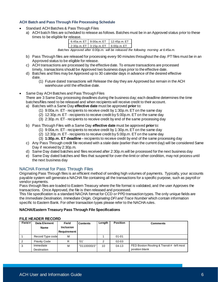#### **ACH Batch and Pass Through File Processing Schedule**

- Standard ACH Batches & Pass Through Files
	- a) ACH batch files are scheduled to release as follows. Batches must be in an Approved status prior to these times to be eligible for release.

| 6:45a.m. $ET$ 9:00a.m. $ET$ | 12:45p.m. ET   |
|-----------------------------|----------------|
| 2:30p.m. ET   3:15p.m. ET   | $6:00p.m. F$ T |

*Batches Approved after 6:00p.m. will be released the following morning at 6:45a.m.*

- b) Pass Through files are released for processing every 90 minutes throughout the day. PT files must be in an Approved status to be eligible for release.
- c) ACH transactions are processed by the effective date. To ensure transactions are processed timely, transactions should be Approved two business days prior to the effective date.
- d) Batches and files may be Approved up to 30 calendar days in advance of the desired effective date.
	- (1) Future dated transactions will Release the day they are Approved but remain in the ACH warehouse until the effective date.
- Same Day ACH Batches and Pass Through Files

There are 3 Same Day processing deadlines during the business day; each deadline determines the time batches/files need to be released and when recipients will receive credit to their account. a) Batches with a Same Day **effective date** must be approved **prior** to:

- (1) 9:00a.m. ET recipients to receive credit by 1:30p.m. ET on the same day
- (2) 12:30p.m. ET recipients to receive credit by 5:00p.m. ET on the same day
- (3) 2:30p.m. ET recipients to receive credit by end of the same processing day
- b) Pass Through Files with a Same Day **effective date** must be approved **prior**to:
	- (1) 9:00a.m. ET recipients to receive credit by 1:30p.m. ET on the same day
	- (2) 12:30p.m. ET recipients to receive credit by 5:00p.m. ET on the same day
	- (3) **1:30p.m. ET deadline -** recipients to receive credit by end of the same processing day
- c) Any Pass Through credit file received with a stale date (earlier than the current day) will be considered Same Day if received by 2:30p.m.
- d) Same Day dated batches and files received after 2:30p.m.will be processed for the next business day
- e) Same Day dated batches and files that suspend for over-the-limit or other condition, may not process until the next business day

#### <span id="page-5-0"></span>NACHA Format for Pass Through Files

Originating Pass Through files is an efficient method of sending high volumes of payments. Typically, your accounts payable system will generate a NACHA file containing all the transactions for a specific purpose, such as payroll or vendor payments.

Pass through files are loaded to Eastern Treasury where the file format is validated, and the user Approves the transactions. Once Approved, the file is then released and processed.

This file specification is a standard NACHA format for CCD or PPD transaction types. The only unique fields are the *Immediate Destination, Immediate Origin, Originating DFI and Trace Number* which contain information specific to Eastern Bank. For other transaction types please refer to the NACHA rules.

#### **NACHA/Eastern Treasury Pass Through File Specifications**

#### **FILE HEADER RECORD**

| Field# | Data Element             | Field                                  | <b>Contents</b> | Length | <b>Position</b> | <b>Comments</b>                                              |
|--------|--------------------------|----------------------------------------|-----------------|--------|-----------------|--------------------------------------------------------------|
|        | Name                     | <b>Inclusion</b><br><b>Requirement</b> |                 |        |                 |                                                              |
|        | Record Type code         | М                                      |                 |        | $01 - 01$       |                                                              |
|        | <b>Priority Code</b>     | R                                      | '01'            | 2      | 02-03           |                                                              |
| 3      | Immediate<br>Destination | М                                      | "011000015"     | 10     | $04-13$         | FED Boston Routing & Transit # - left most<br>position blank |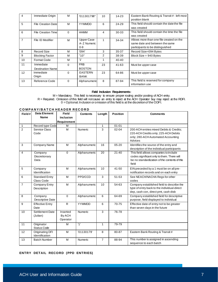| 4              | Immediate Origin                     | м        | '011301798"                          | 10 | 14-23 | Eastern Bank Routing & Transit # - left most<br>position blank                                                 |
|----------------|--------------------------------------|----------|--------------------------------------|----|-------|----------------------------------------------------------------------------------------------------------------|
| 5              | <b>File Creation Date</b>            | M        | <b>YYMMDD</b>                        | 6  | 24-29 | This field should contain the date the file<br>was created                                                     |
| 6              | <b>File Creation Time</b>            | $\Omega$ | <b>HHMM</b>                          | 4  | 30-33 | This field should contain the time the file<br>was created                                                     |
| $\overline{7}$ | File ID Modifier                     | M        | Upper Case<br>A-Z Numeric<br>$0 - 9$ |    | 34-34 | Allows more than one file created on the<br>same date and between the same<br>participants to be distinguished |
| 8              | <b>Record Size</b>                   | м        | '094'                                | 3  | 35-37 | Record Size=094 Bytes                                                                                          |
| 9              | <b>Blocking Factor</b>               | м        | "10"                                 | 2  | 38-39 | Block Size = $940$ Bytes                                                                                       |
| 10             | Format Code                          | м        | '1'                                  |    | 40-40 |                                                                                                                |
| 11             | Immediate<br><b>Destination Name</b> | $\Omega$ | <b>FRB</b><br><b>BOSTON</b>          | 23 | 41-63 | Must be upper case                                                                                             |
| 12             | Immediate<br>Origin                  | $\Omega$ | <b>EASTERN</b><br><b>BANK</b>        | 23 | 64-86 | Must be upper case                                                                                             |
| 13             | Reference Code                       | $\Omega$ | Alphanumeric                         | 8  | 87-94 | This field is reserved for company<br>information use                                                          |

#### **Field Inclusion Requirements:**

M = Mandatory. This field is necessary to ensure proper routing and/or posting of ACH entry. R = Required. Omission of this field will not cause an entry to reject at the ACH Operator buy may reject at the RDFI. 0 = Optional. Inclusion or omission of this field is at the discretion of the ODFI.

#### **C O M P A N Y / B A T C H H E A D E R R E C O R D**

| Field#         | <b>Data Element</b><br>Name              | <b>Field</b><br><b>Inclusion</b> | <b>Contents</b> | Length         | <b>Position</b> | <b>Comments</b>                                                                                                                                |
|----------------|------------------------------------------|----------------------------------|-----------------|----------------|-----------------|------------------------------------------------------------------------------------------------------------------------------------------------|
|                |                                          | Requirement                      |                 |                |                 |                                                                                                                                                |
| $\mathbf{1}$   | Record type Code                         | M                                |                 | 1              | $01 - 01$       |                                                                                                                                                |
| $\overline{2}$ | Service Class<br>Code                    | M                                | Numeric         | 3              | $02 - 04$       | 200-ACH entries mixed Debits & Credits:<br>220-ACH Credits only; 225-ACH Debits<br>only; 280-ACH Automated Accounting<br>Advices               |
| 3              | Company Name                             | M                                | Alphanumeric    | 16             | 05-20           | Identifies the source of the entry and<br>description of the individual participants                                                           |
| $\overline{4}$ | Company<br>Discretionary<br>Data         | $\mathbf 0$                      | Alphanumeric    | 20             | $21 - 40$       | This field allows companies to include<br>codes significant only to them. There will<br>be no standardization of the contents of this<br>field |
| 5              | Company<br>Identification                | M                                | Alphanumeric    | 10             | 41-50           | EIN preceded by a 1 must be on all pre-<br>notification records and on each entry                                                              |
| 6              | <b>Standard Entry</b><br>Class Code      | M                                | PPD/CCD         | 3              | 51-53           | See NEACH/NACHA Regs for other<br>codes                                                                                                        |
| $\overline{7}$ | Company Entry<br>Description             | M                                | Alphanumeric    | 10             | 54-63           | Company established field to describe the<br>type of entry back to the individual-direct<br>dep, cash con, direct pmt, cash disb               |
| 8              | Company<br>Descriptive Date              | $\mathbf 0$                      | Alphanumeric    | 6              | 64-69           | Company established field for descriptive<br>purpose, field displayed to individual                                                            |
| 9              | <b>Effective Entry</b><br>Date           | R                                | YYMMDD          | 6              | 70-75           | Effective date of entry not to be greater<br>than seven days in the future                                                                     |
| 10             | Settlement Date<br>(Julian)              | Inserted<br>By ACH<br>Operator   | Numeric         | 3              | $76 - 78$       |                                                                                                                                                |
| 11             | Originator<br><b>Status Code</b>         | M                                | '1'             | 1              | 79-79           |                                                                                                                                                |
| 12             | <b>Originating DFI</b><br>Identification | M                                | '01130179'      | 8              | 80-87           | Eastern Bank Routing & Transit #                                                                                                               |
| 13             | <b>Batch Number</b>                      | M                                | Numeric         | $\overline{7}$ | 88-94           | This number is assigned in ascending<br>sequence to each batch                                                                                 |

#### **ENTRY DETAIL RECORD (PPD ENTRIES)**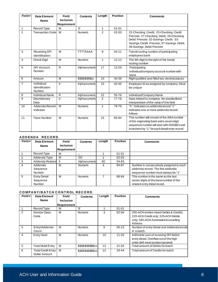| Field#         | <b>Data Element</b>                    | Field                                  | <b>Contents</b>    | Length         | <b>Position</b> | <b>Comments</b>                                                                                                                                                                                     |
|----------------|----------------------------------------|----------------------------------------|--------------------|----------------|-----------------|-----------------------------------------------------------------------------------------------------------------------------------------------------------------------------------------------------|
|                | <b>Name</b>                            | <b>Inclusion</b><br><b>Requirement</b> |                    |                |                 |                                                                                                                                                                                                     |
| $\mathbf{1}$   | Record Type                            | M                                      | '6'                | 1              | $01 - 01$       |                                                                                                                                                                                                     |
| $\overline{2}$ | <b>Transaction Code</b>                | M                                      | Numeric            | $\overline{2}$ | $02 - 03$       | 22-Checking Credit; 23-Checking Credit<br>Prenote; 27-Checking Debit, 28-Checking<br>Debit Prenote; 32-Savings Credit, 33-<br>Savings Credit Prenote; 37-Savings Debit;<br>38-Savings Debit Prenote |
| 3              | <b>Receiving DFI</b><br>Identification | M                                      | <b>TTTTAAAA</b>    | 8              | $04 - 11$       | Transit routing number of participating<br>employees bank                                                                                                                                           |
| 4              | <b>Check Digit</b>                     | M                                      | Numeric            | 1              | $12 - 12$       | The 9th digit to the right of the transit<br>routing number                                                                                                                                         |
| 5              | <b>DFI Account</b><br>Number           | $\mathsf{R}$                           | Alphanumeric       | 17             | 13-29           | Participating<br>individual/company account number with<br>bank                                                                                                                                     |
| 6              | Amount                                 | M                                      | \$\$\$\$\$\$\$\$cc | 10             | 30-39           | Right justified zero filled two decimal places                                                                                                                                                      |
| $\overline{7}$ | Individual<br>Identification<br>Number | $\Omega$                               | Alphanumeric       | 15             | 40-45           | Employee ID as assigned by company. Must<br>be unique                                                                                                                                               |
| 8              | Individual Name                        | $\mathsf{R}$                           | Alphanumeric       | 22             | 55-76           | Individual/Company Name                                                                                                                                                                             |
| $\overline{9}$ | Discretionary<br>Data                  | $\Omega$                               | Alphanumeric       | $\overline{2}$ | 77-78           | Data related to company. No standardized<br>interpretation of the value of this field                                                                                                               |
| 10             | Addenda Record<br>Indicator            | M                                      | Numeric            | $\mathbf{1}$   | 79-79           | "0" indicates no addenda record "1"<br>indicates one or more addenda record<br>follows                                                                                                              |
| 11             | <b>Trace Number</b>                    | M                                      | Numeric            | 15             | 80-94           | This number will consist of the ABA number<br>of the originating bank and a seven digit<br>sequence number will start with 0000001 and<br>increment by "1" for each detail entry record             |

#### **A D D E N D A R E C O R D**

| Field#         | Data Element        | <b>Field</b>       | <b>Contents</b> | Length | <b>Position</b> | <b>Comments</b>                          |
|----------------|---------------------|--------------------|-----------------|--------|-----------------|------------------------------------------|
|                | <b>Name</b>         | <b>Inclusion</b>   |                 |        |                 |                                          |
|                |                     | <b>Requirement</b> |                 |        |                 |                                          |
|                | Record Type         | м                  | 7,              |        | $01 - 01$       |                                          |
|                | Addenda Type        | м                  | '05'            |        | $02 - 03$       |                                          |
| 3              | Addenda Related 0   |                    | Alphanumeric    | 80     | 04-83           |                                          |
| 4              | Addenda             | м                  | Numeric         | 4      | 84-87           | Number is consecutively assigned to each |
|                | Sequence            |                    |                 |        |                 | addenda record. The first addenda        |
|                | Number              |                    |                 |        |                 | sequence number must always be "1"       |
| $\overline{5}$ | <b>Entry Detail</b> | м                  | <b>Numeric</b>  |        | 88-94           | This number is the same as the last      |
|                | Sequence            |                    |                 |        |                 | seven digits of the trace number of the  |
|                | Number              |                    |                 |        |                 | related entry detail record.             |

#### **C O M P A N Y / B A T C H C O N T R OL R E C O R D**

| Field# | <b>Data Element</b>                 | <b>Field</b>       | <b>Contents</b>                     | Length            | <b>Position</b> | <b>Comments</b>                                                                                                                 |
|--------|-------------------------------------|--------------------|-------------------------------------|-------------------|-----------------|---------------------------------------------------------------------------------------------------------------------------------|
|        | Name                                | <b>Inclusion</b>   |                                     |                   |                 |                                                                                                                                 |
|        |                                     | <b>Requirement</b> |                                     |                   |                 |                                                                                                                                 |
|        | Record Type                         | м                  | '8'                                 |                   | $01 - 01$       |                                                                                                                                 |
| 2      | <b>Service Class</b><br>Code        | м                  | Numeric                             | 3                 | $02 - 04$       | 200-ACH entries mixed Debits & Credits;<br>220-ACH Credit only; 225-ACH Debits<br>only; 280-ACH Automated Accounting<br>Advices |
| 3      | Entry/Addenda<br>Count              | M                  | <b>Numeric</b>                      | 6                 | $05-10$         | Number of entry Detail and Addenda record<br>in a batch.                                                                        |
| 4      | Entry Hash                          | м                  | <b>Numeric</b>                      | 10                | $11 - 20$       | Arithmetic sum of receiving DFI field in<br>entry detail. Overflow out of the high<br>order (left most position ignored)        |
| 5      | <b>Total Debit Entry</b>            | M                  | \$\$\$\$\$\$\$\$\$ <sub>\$</sub> cc | 12                | $21 - 32$       | Total amount of Debits for batch                                                                                                |
| 6      | Total Credit Entry<br>Dollar Amount | M                  | \$\$\$\$\$\$\$\$\$cc                | $12 \overline{ }$ | 33-44           | Total amount of Credits for batch                                                                                               |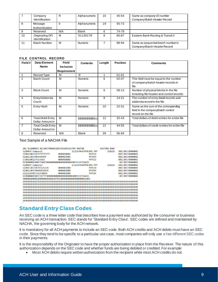|    | Company<br>Identification         | R                       | Alphanumeric   | 10 | 45-54 | Same as company ID number<br>Company/Batch Header Record          |
|----|-----------------------------------|-------------------------|----------------|----|-------|-------------------------------------------------------------------|
| -8 | Message<br>Authentication         | Alphanumeric<br>19<br>0 |                |    | 55-73 |                                                                   |
|    | Reserved                          | N/A                     | <b>Blank</b>   | 6  | 74-79 |                                                                   |
| 10 | Originating DFI<br>Identification | M                       | '01130179'     | 8  | 80-87 | Eastern Bank Routing & Transit #                                  |
| 11 | <b>Batch Number</b>               | м                       | <b>Numeric</b> |    | 88-94 | Same as sequential batch number in<br>Company/Batch Header Record |

#### **FILE CONTROL RECORD**

| Field#         | Data Element                                  | <b>Field</b>     | <b>Contents</b>      | Length | <b>Position</b> | <b>Comments</b>                                                                                  |  |
|----------------|-----------------------------------------------|------------------|----------------------|--------|-----------------|--------------------------------------------------------------------------------------------------|--|
|                | <b>Name</b>                                   | <b>Inclusion</b> |                      |        |                 |                                                                                                  |  |
|                |                                               | Requirement      |                      |        |                 |                                                                                                  |  |
|                | Record Type                                   | м                | '9'                  | -1     | $01 - 01$       |                                                                                                  |  |
| $\overline{2}$ | <b>Batch Count</b>                            | M                | <b>Numeric</b>       | 6      | $02 - 07$       | This field must be equal to the number<br>of company/batch header records in<br>file             |  |
| 3              | <b>Block Count</b>                            | M                | <b>Numeric</b>       | 6      | $08-13$         | Number of physical blocks in the file<br>including file header and control records               |  |
| 4              | Entry/Addenda<br>Count                        | M                | Numeric              | 8      | $14 - 21$       | The number of entry detail records and<br>addenda record in the file                             |  |
| 5              | Entry Hash                                    | M                | <b>Numeric</b>       | 10     | 22-31           | Same as the sum of the corresponding<br>field in the company/batch control<br>record on the file |  |
| 6              | <b>Total Debit Entry</b><br>Dollar Amount in  | M                | \$\$\$\$\$\$\$\$\$cc | 12     | $32-43$         | Total dollars of debit entries for entire file                                                   |  |
| 7              | <b>Total Credit Entry</b><br>Dollar Amount in | м                | \$\$\$\$\$\$\$\$\$cc | 12     | 44-55           | Total dollars of credit entries for entire file                                                  |  |
| 8              | Reserved                                      | N/A              | <b>Blank</b>         | 39     | 56-94           |                                                                                                  |  |

#### Text Sample of a NACHA File

| 101 011000015 01130179806042815391094101FRB BOSTON       |            |                       | <b>EASTERN BANK</b> |                  |
|----------------------------------------------------------|------------|-----------------------|---------------------|------------------|
| 5220ACH Company1                                         |            | 1122334455PPDCONS PAY | 210210              | 1011301790000001 |
| 62201100172677777777777                                  | 0000010001 | PAYEE2                |                     | 0011301790000001 |
| 6220113017984445555                                      | 0000025001 | PAYEE3                |                     | 0011301790000002 |
| 632011001276555665                                       | 0000010001 | PAYEE1                |                     | 0011301790000003 |
| 822000000300033304780000000000000000000450031122334455   |            |                       |                     | 011301790000001  |
| 5220ACH Company2                                         |            | 1122334456PPDCONS PAY | 210210              | 1011301790000002 |
| 622011301798785525274                                    | 0000002000 | PAYEE4                |                     | 0011301790000001 |
| 622011301798602552565                                    | 0000002000 | <b>PAYEE5</b>         |                     | 0011301790000002 |
| 62221107017522338858                                     | 0000002000 | PAYEE6                |                     | 0011301790000003 |
| 822000000300233673750000000000000000000000001122334456   |            |                       |                     | 011301790000002  |
| 90000020000020000000060026697853000000000000000000051003 |            |                       |                     |                  |
|                                                          |            |                       |                     |                  |
|                                                          |            |                       |                     |                  |
|                                                          |            |                       |                     |                  |
|                                                          |            |                       |                     |                  |
|                                                          |            |                       |                     |                  |
|                                                          |            |                       |                     |                  |
|                                                          |            |                       |                     |                  |
|                                                          |            |                       |                     |                  |
|                                                          |            |                       |                     |                  |

## <span id="page-8-0"></span>**Standard Entry Class Codes**

An SEC code is a three letter code that describes how a payment was authorized by the consumer or business receiving an ACH transaction. SEC stands for 'Standard Entry Class'. SEC codes are defined and maintained by NACHA, the governing body for the ACH network.

It is mandatory for all ACH payments to include an SEC code. Both ACH credits and ACH debits must have an SEC code. Since they tend to be specific to a particular use case, most companies will only use a few different SEC codes in their payments.

It is the responsibility of the Originator to have the proper authorization in place from the Receiver. The nature of this authorization depends on the SEC code and whether funds are being debited or credited. For example:

• Most ACH debits require written authorization from the recipient while most ACH credits do not.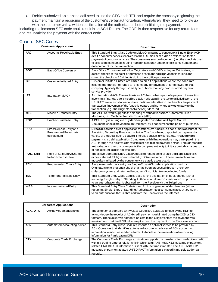• Debits authorized on a phone call need to use the SEC code TEL and require the company originating the payment maintain a recording of the customer's verbal authorization. Alternatively, they need to follow up with the customer with a written confirmation of the authorization before initiating the payment.

Including the incorrect SEC code could result in an ACH Return. The ODFI is then responsible for any return fees and resubmitting the payment with the correct code.

#### <span id="page-9-0"></span>Chart of SEC Codes

|            | <b>Consumer Applications</b>                                      | <b>Description</b>                                                                                                                                                                                                                                                                                                                                                                                                                                                                                                                                                                                                 |  |  |  |  |  |
|------------|-------------------------------------------------------------------|--------------------------------------------------------------------------------------------------------------------------------------------------------------------------------------------------------------------------------------------------------------------------------------------------------------------------------------------------------------------------------------------------------------------------------------------------------------------------------------------------------------------------------------------------------------------------------------------------------------------|--|--|--|--|--|
| <b>ARC</b> | <b>Accounts Receivable Entry</b>                                  | This Standard Entry Class Code enables Originators to convert to a Single-Entry ACH<br>debit a consumer check received via the U.S. mail or at a drop box location for the<br>payment of goods or services. The consumers source document (i.e., the check) is used<br>to collect the consumers routing number, account number, check serial number, and<br>dollar amount for the transaction.                                                                                                                                                                                                                     |  |  |  |  |  |
| <b>BOC</b> | <b>Back Office Conversion</b>                                     | Back Office Conversion will allow Originators and ODFI's acting as Originators, to<br>accept checks at the point-of-purchase or at manned bill payment locations and<br>covert the checks to ACH debits during back office processing.                                                                                                                                                                                                                                                                                                                                                                             |  |  |  |  |  |
| <b>CIE</b> | <b>Customer Initiated Entry</b>                                   | Customer Initiated Entries are limited to credit applications where the consumer<br>initiates the transfer of funds to a company for payment of funds owed to that<br>company, typically through some type of home banking product or bill payment<br>service provider.                                                                                                                                                                                                                                                                                                                                            |  |  |  |  |  |
| <b>IAT</b> | International ACH                                                 | An International ACH Transaction is an ACH entry that is part of a payment transaction<br>involving a financial agency's office that is not located in the territorial jurisdiction of the<br>US. IAT Transactions focus on where the financial institution that handles the payment<br>transaction (movement of the funds) is located and not where any other party to the<br>transaction (e.g., the Originator or Receiver) is located.                                                                                                                                                                          |  |  |  |  |  |
| <b>MTE</b> | <b>Machine Transfer Entry</b>                                     | The ACH Network supports the clearing of transactions from Automated Teller<br>Machines, i.e., Machine Transfer Entries (MTE).                                                                                                                                                                                                                                                                                                                                                                                                                                                                                     |  |  |  |  |  |
| <b>POP</b> | Point-of-Purchase Entry                                           | A POP Entry is a Single-Entry debit originated based on an Eligible Source<br>Document (check) provided to an Originator by a consumer at the point-of-purchase.                                                                                                                                                                                                                                                                                                                                                                                                                                                   |  |  |  |  |  |
| <b>PPD</b> | Direct Deposit Entry and<br>Prearranged/Preauthoriz<br>ed Payment | Direct deposit is a credit application that transfers funds into a consumers account at the<br>Receiving Depository Financial Institution. The funds being deposited can represent a<br>variety of products, such as payroll, interest, pension, dividends, etc. Preauthorized<br>payment is a debit application. Companies with billing operations may participate in the<br>ACH through the electronic transfer (direct debit) of bill payment entries. Through standing<br>authorizations, the consumer grants the company authority to initiate periodic charges to his<br>or her account as bills become due. |  |  |  |  |  |
| POS/SHR    | Point of Sale Entry/Shared<br><b>Network Transaction</b>          | These two Standard Entry Class Codes represent point of sale debit applications in<br>either a shared (SHR) or non-shared (POS) environment. These transactions are<br>most often initiated by the consumer via a plastic access card.                                                                                                                                                                                                                                                                                                                                                                             |  |  |  |  |  |
| RCK        | Re-presented Check Entry                                          | A re-presented check entry is a Single-Entry ACH debit application used by<br>Originators to re-present a check that has been processed through the check<br>collection system and returned because of insufficient or uncollected funds.                                                                                                                                                                                                                                                                                                                                                                          |  |  |  |  |  |
| <b>TEL</b> | Telephone-Initiated Entry                                         | This Standard Entry Class Code is used for the origination of debit entries (either<br>recurring, Single-Entry or Standing Authorization) to a consumers account pursuant<br>to an authorization that is obtained from the Receiver via the Telephone.                                                                                                                                                                                                                                                                                                                                                             |  |  |  |  |  |
| <b>WEB</b> | Internet-Initiated Entry                                          | This Standard Entry Class Code is used for the origination of debit entries (either<br>recurring, Single-Entry or Standing Authorization) to a consumers account pursuant<br>to an authorization that is obtained from the Receiver via the Internet.                                                                                                                                                                                                                                                                                                                                                              |  |  |  |  |  |

|                  | <b>Corporate Applications</b> | <b>Description</b>                                                                                                                                                                                                                                                                                                                                                    |  |  |  |  |  |
|------------------|-------------------------------|-----------------------------------------------------------------------------------------------------------------------------------------------------------------------------------------------------------------------------------------------------------------------------------------------------------------------------------------------------------------------|--|--|--|--|--|
| <b>ACK / ATX</b> | <b>Acknowledgment Entries</b> | These optional Standard Entry Class Codes are available for use by the RDFI to<br>acknowledge the receipt of ACH credit payments originated using the CCD or CTX<br>formats. These acknowledgments indicate to the Originator that the payment was<br>received and that the RDFI will attempt to post the payment to the Receivers account.                           |  |  |  |  |  |
| <b>ADV</b>       | Automated Accounting Advice   | This Standard Entry Class Code represents an optional service to be provided by<br>ACH Operators that identifies automated accounting advices of ACH accounting<br>information in machine readable format to facilitate the automation of accounting<br>information for Participating DFIs                                                                            |  |  |  |  |  |
| <b>CTX</b>       | Corporate Trade Exchange      | The Corporate Trade Exchange application supports the transfer of funds (debit or credit)<br>within a trading partner relationship in which a full ANSI ASC X12 message or payment<br>related UN/EDIFACT information is sent with the funds transfer. The ANSI ASC X12<br>message or payment related UN/EDIFACT information is placed in multiple addenda<br>records. |  |  |  |  |  |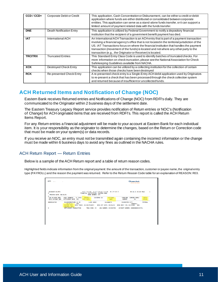| $CCD / CCD+$   | Corporate Debit or Credit | This application, Cash Concentration or Disbursement, can be either a credit or debit<br>application where funds are either distributed or consolidated between corporate<br>entities. This application can serve as a stand-alone funds transfer, or it can support a<br>limited amount of payment related data with the funds transfer.                                                                                                 |
|----------------|---------------------------|-------------------------------------------------------------------------------------------------------------------------------------------------------------------------------------------------------------------------------------------------------------------------------------------------------------------------------------------------------------------------------------------------------------------------------------------|
| <b>DNE</b>     | Death Notification Entry  | This application is utilized by Federal Government to notify a depository financial<br>institution that the recipient of a government benefit payment has died.                                                                                                                                                                                                                                                                           |
| <b>IAT</b>     | International ACH         | An International ACH Transaction is an ACH entry that is part of a payment transaction<br>involving a financial agency's office that is not located in the territorial jurisdiction of the<br>US. IAT Transactions focus on where the financial institution that handles the payment<br>transaction (movement of the funds) is located and not where any other party to the<br>transaction (e.g., the Originator or Receiver) is located. |
| <b>TRCITRX</b> | <b>Truncated Entries</b>  | This Standard Entry Class Code is used to identify batches of truncated checks. For<br>more information on check truncation, please see the National Association for Check<br>Safekeeping Guidelines available from NACHA.                                                                                                                                                                                                                |
| <b>XCK</b>     | Destroyed Check Entry     | This application can be utilized by a collecting institution for the collection of certain<br>checks when those checks have been destroyed                                                                                                                                                                                                                                                                                                |
| <b>RCK</b>     | Re-presented Check Entry  | A re-presented check entry is a Single-Entry ACH debit application used by Originators<br>to re-present a check that has been processed through the check collection system<br>and returned because of insufficient or uncollected funds.                                                                                                                                                                                                 |

## <span id="page-10-0"></span>**ACH Returned Items and Notification of Change (NOC)**

Eastern Bank receives Returned entries and Notifications of Change (NOC) from RDFI's daily. They are communicated to the Originator within 2 business days of the settlement date.

The Eastern Treasury Legacy Report service provides notification of Return entries or NOC's (Notification of Change) for ACH originated items that are received from RDFI's. This report is called the ACH Return Items Report.

For any *Return* entries a financial adjustment will be made to your account at Eastern Bank for each individual item. It is your responsibility as the originator to determine the changes, based on the Return or Correction code that must be made on your system(s) or data records.

If you receive an NOC, an entry must not be transmitted again containing the incorrect information or the change must be made within 6 business days to avoid any fines as outlined in the NACHA rules.

#### <span id="page-10-1"></span>ACH Return Report — Return Entries

Below is a sample of the ACH Return report and a table of return reason codes.

Highlighted fields indicate information from the original payment: the amount of the transaction, customer or payee name, the original entry type (PAYROLL) and the reason the payment was returned. Refer to the Return Reason Code table for an explanation of REASON: R03.

|                                                                                          |                               |                  |                                     |             |                                                                                            | <b>ZEastern Bank</b><br>JOIN US FOR GOOD                                                      |                       |
|------------------------------------------------------------------------------------------|-------------------------------|------------------|-------------------------------------|-------------|--------------------------------------------------------------------------------------------|-----------------------------------------------------------------------------------------------|-----------------------|
| ACDDAENT-01/RTA<br>A<br><b>PROCESS DATE: 09/16/21</b>                                    |                               | BANK NUMBER: 373 | FINANCIAL INSTITUTION: EASTERN BANK |             |                                                                                            | RETURN AUTOMATION REPORT 09-16-21 03:44 PAGE 1                                                |                       |
| CUR ACCOUNT NBR/ TRACE NUMBER/ TC TYPE/ AMOUNT/ CUSTOMER ID CUSTOMER<br>ORIG ACCOUNT NBR | SETTLEMENT DATE SEC DISC DATA |                  |                                     | <b>NAME</b> | <b>NUMBER</b>                                                                              | TRAN/ABA COMPANY NAME/<br>TD                                                                  | ENTRY<br><b>DESCR</b> |
| <br>08260112764                                                                          | 09/16/21 PPD<br>ADDENDA INFO: |                  |                                     |             | REASON: R03 ORIG TRACE: 0113017918071 ORIG EFF DATE: 09/16/21 ORIG RDFI T/R: 01110309 DOD: | 011103098676305 21 CR \$.00 10264 ELIZABETH 811301798 CITY<br>10460013                        | PAYROLL               |
| A                                                                                        |                               |                  |                                     |             |                                                                                            | SETTLEMENT TRANSACTION - TRAN CODE: 22 ABA NUMBER: 011301798 ACCOUNT NUMBER: 000000000101721. |                       |
|                                                                                          |                               |                  |                                     |             |                                                                                            |                                                                                               |                       |
|                                                                                          |                               |                  |                                     |             |                                                                                            |                                                                                               |                       |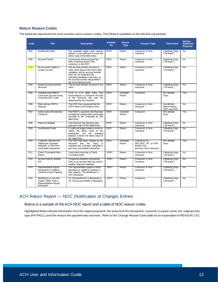#### **Return Reason Codes**

The below list represents the most common return reason codes. The full list is available on the NACHA.org website

| Code            | <b>Title</b>                                                                                                 | <b>Description</b>                                                                                                                                                                                                                                    | <b>Initiated</b><br><b>By</b> | Return<br><b>Type</b> | <b>Account Type</b>                                                              | <b>Time Frame</b>                              | Written<br><b>Statement</b><br><b>Required</b> |
|-----------------|--------------------------------------------------------------------------------------------------------------|-------------------------------------------------------------------------------------------------------------------------------------------------------------------------------------------------------------------------------------------------------|-------------------------------|-----------------------|----------------------------------------------------------------------------------|------------------------------------------------|------------------------------------------------|
| R <sub>01</sub> | <b>Insufficient Funds</b>                                                                                    | The available and/or cash reserve<br>balance is not sufficient to cover the<br>dollar value of the debit Entry.                                                                                                                                       | <b>RDFI</b>                   | Return                | Consumer or Non-<br>consumer                                                     | 2 Banking Days<br>("24 hours")                 | No                                             |
| R <sub>02</sub> | <b>Account Closed</b>                                                                                        | A previously active account has<br>been closed by action of the<br>customer or the RDFI                                                                                                                                                               | <b>RDFI</b>                   | Return                | Consumer or Non-<br>consumer                                                     | 2 Banking Days<br>("24 hours")                 | <b>No</b>                                      |
| <b>R03</b>      | No Account/ Unable to<br>Locate Account                                                                      | The account number structure is<br>valid, and it passes the Check digit<br>validation, but the account number<br>does not correspond to the<br>individual identified in the Entry, or<br>the account number designated is<br>not an existing account. | RDFI                          | Return                | Consumer or Non-<br>consumer                                                     | 2 Banking Days<br>("24 hours")                 | No                                             |
| R <sub>04</sub> | <b>Invalid Account Number</b><br>Structure                                                                   | The account number structure is not<br>valid.                                                                                                                                                                                                         | <b>RDFI</b>                   | Return                | Consumer or Non-<br>consumer                                                     | 2 Banking Days<br>("24 hours")                 | No                                             |
| R <sub>05</sub> | Unauthorized Debit to<br><b>Consumer Account Using</b><br>Corporate SEC Code                                 | CCD or CTX debit Entry was<br>transmitted to a Consumer Account<br>of the Receiver and was not<br>authorized by the Receiver.                                                                                                                         | <b>RDFI</b>                   | Extended<br>Return    | Consumer                                                                         | 60 Calendar<br>Days                            | Yes                                            |
| R <sub>06</sub> | Returned per ODFI's<br>Request                                                                               | The ODFI has requested that the<br>RDFI return an Erroneous Entry.                                                                                                                                                                                    | RDFI                          | Return                | Consumer or Non-<br>consumer                                                     | Not defined,<br>determined by<br>ODFI and RDFI | No                                             |
| R <sub>07</sub> | Authorization Revoked by<br>Customer                                                                         | The RDFI's customer (the Receiver)<br>revoked the authorization previously<br>provided to the Originator for this<br>debit Entry.                                                                                                                     | <b>RDFI</b>                   | Extended<br>Return    | Consumer                                                                         | 60 Calendar<br>Days                            | Yes                                            |
| <b>R08</b>      | <b>Payment Stopped</b>                                                                                       | The Receiver has placed a stop<br>payment order on this debit Entry.                                                                                                                                                                                  | RDFI                          | Return                | Consumer or Non-<br>consumer                                                     | 2 Banking Days<br>("24 hours")                 | No                                             |
| R09             | <b>Uncollected Funds</b>                                                                                     | A sufficient ledger balance exists to<br>satisfy the dollar value of the<br>transaction, but the available<br>balance is below the dollar value of<br>the debit Entry.                                                                                | RDFI                          | Return                | Consumer or Non-<br>consumer                                                     | 2 Banking Days<br>("24 hours")                 | No                                             |
| R10             | <b>Customer Advises Not</b><br>Authorized. Improper.<br>Ineligible, or Part of an<br>incomplete transaction. | The RDFI has been notified by the<br>Receiver that the Entry is<br>unauthorized, improper, ineligible or<br>part of an incomplete transaction.                                                                                                        | RDFI                          | Extended<br>Return    | Consumer: for<br>ARC.BOC. IAT. or POP.<br>Entries may<br>also be a Non-consumer. | 60 Calendar<br>Davs                            | Yes                                            |
| R <sub>11</sub> | <b>Check Truncation Entry</b><br>Return                                                                      | Used when returning a Check<br><b>Truncation Entry</b>                                                                                                                                                                                                | <b>RDFI</b>                   | Return                | Consumer or Non-<br>consumer                                                     | 2 Banking Days<br>("24 hours")                 | <b>No</b>                                      |
| R12             | Account Sold to Another<br>DFI                                                                               | A financial institution received an<br>Entry to an account that was sold to<br>another financial institution.                                                                                                                                         | RDFI                          | Return                | Consumer or Non-<br>consumer                                                     | 2 Banking Days<br>("24 hours")                 | No                                             |
| R14             | Representative Payee<br>Deceased or Unable to<br>Continue in that Capacity                                   | The representative payee is either<br>deceased or unable to continue in<br>that capacity. The beneficiary is<br>NOT deceased.                                                                                                                         | RDFI                          | Return                | Consumer or Non-<br>consumer                                                     | 2 Banking Days<br>("24 hours")                 | No                                             |
| R <sub>15</sub> | Beneficiary or Account<br>Holder (Other Than a<br>Representative Payee)<br>Deceased                          | (1) The beneficiary is deceased, or<br>(2) The account holder is deceased.                                                                                                                                                                            | RDFI                          | Return                | Consumer                                                                         | 2 Banking Days<br>("24 hours")                 | No                                             |

#### <span id="page-11-0"></span>ACH Return Report — NOC (Notification of Change) Entries

Below is a sample of the ACH NOC report and a table of NOC reason codes.

Highlighted fields indicate information from the original payment: the amount of the transaction, customer or payee name, the original entry type (PAYROLL) and the reason the payment was returned. Refer to the Change Reason Code table for an explanation of REASON: C01.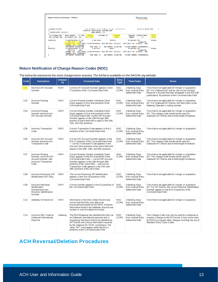| Eastern Product Corp Customer. - ADVALL1              | <b>ZEastern Bank</b><br><b>JOIN US FOR GOOD</b>                                                                                                                                                                                                                                                                                                                     |                              |  |  |
|-------------------------------------------------------|---------------------------------------------------------------------------------------------------------------------------------------------------------------------------------------------------------------------------------------------------------------------------------------------------------------------------------------------------------------------|------------------------------|--|--|
| ACDDAENT-01/RTA<br>Θ<br><b>PROCESS DATE: 09/24/21</b> | <b>REPORT</b><br>09-24-21 03:44 PAGE<br><b>RETURN</b><br><b>AUTOMATION</b><br><b>FINANCIAL INSTITUTION: FASTERN BANK</b><br><b>BANK NUMBER: 373</b>                                                                                                                                                                                                                 | ٦                            |  |  |
| <b>CUR ACCOUNT NBR/</b><br>ORIG ACCOUNT NBR           | TC TYPE/<br><b>CUSTOMER ID</b><br><b>CUSTOMER</b><br><b>TRAN/ABA</b><br><b>COMPANY NAME/</b><br>TRACE NUMBER/<br>AMOUNT/<br>SETTLEMENT DATE<br><b>NAME</b><br><b>SEC</b><br><b>DISC DATA</b><br><b>NUMBER</b><br>ΤD                                                                                                                                                 | <b>ENTRY</b><br><b>DESCR</b> |  |  |
| 0268919191                                            | \$.00 14406<br>011301798 CITY<br>211381730162655 31 CR<br>1046001397<br>09/23/21<br><b>COR</b><br>ORIG TRACE: 011301797252660 ORIG EFF DATE: 09/23/21 ORIG RDFI T/R: 21138173<br>REASON: COL<br>DOD:<br>ADDENDA TNEO: 26891988                                                                                                                                      | PAYROLL                      |  |  |
| A<br>00187518                                         | TRAN CODE: 22<br>ARA NUMBER: 011301798<br>ACCOUNT NUMBER: 000000000101,<br><b>SETTI EMENT TRANSACTION</b><br>×.<br>\$.00 8742<br>211383952660091 31 CR<br>MARIE (<br>011301798 CITY<br><b>COR</b><br>09/24/21<br>1046001397<br>ORIG RDFI T/R: 21138395<br>ORIG EFF DATE: 09/23/21<br>REASON: CO1<br>ORIG TRACE: 011301797251504<br>DOD:<br>ADDENDA INFO: 0100018951 | <b>PAYROLL</b>               |  |  |
| Θ                                                     | TRAN CODE: 22<br>ABA NUMBER: 011301798<br>ACCOUNT NUMBER: 000000000101<br>SETTLEMENT TRANSACTION<br>$\sim$                                                                                                                                                                                                                                                          |                              |  |  |

#### **Return Notification of Change Reason Codes (NOC)**

The below list represents the most change return reasons. The full list is available on the NACHA.org website

| Code            | <b>Description</b>                                                                                               | Initiated<br>by | <b>Corrected Data</b>                                                                                                                                                                                                                                                                                                         | <b>Entry</b><br><b>Type</b> | <b>Time Frame</b>                                        | <b>Notes</b>                                                                                                                                                                                                                       |
|-----------------|------------------------------------------------------------------------------------------------------------------|-----------------|-------------------------------------------------------------------------------------------------------------------------------------------------------------------------------------------------------------------------------------------------------------------------------------------------------------------------------|-----------------------------|----------------------------------------------------------|------------------------------------------------------------------------------------------------------------------------------------------------------------------------------------------------------------------------------------|
| CO <sub>1</sub> | Incorrect DFI Account<br>Number                                                                                  | <b>RDFI</b>     | Correct DFI Account Number appears in first<br>17 positions of the Corrected Data Field.                                                                                                                                                                                                                                      | <b>NOC</b><br>(COR)         | 2 Banking Days<br>from original Entry<br>Settlement Date | Time frame not applicable for merger or acquisition.<br>IAT: For Outbound IAT entries, the correct Foreign<br>Receiver's Account Number will appear in the first (left<br>justification) 35 positions of the Corrected Data Field. |
| CO <sub>2</sub> | <b>Incorrect Routing</b><br>Number                                                                               | <b>RDFI</b>     | Correct Routing Number (induding Check<br>Digit) appears in first nine positions of the<br>Corrected Data Field.                                                                                                                                                                                                              | <b>NOC</b><br>(COR)         | 2 Banking Days<br>from original Entry<br>Settlement Date | Time frame not applicable for merger or acquisition.<br>IAT: For Outbound IAT Entries, this field refers to the<br>Gateway Operator's routing number.                                                                              |
| CO <sub>3</sub> | Incorrect Routing<br>Number and Incorrect<br><b>DFI Account Number</b>                                           | <b>RDFI</b>     | Correct Routing Number (induding Check<br>Digit) appears in first nine positions of the<br>Corrected Data Field--correct DFI Account<br>Number appears in the 13th through 29th<br>position of same field with a space in the 10th,<br>11th, and 12th positions.                                                              | <b>NOC</b><br>(COR)         | 2 Banking Days<br>from original Entry<br>Settlement Date | Time frame not applicable for merger or acquisition.<br>IAT: This change code should not be used for<br>Outbound IAT Entries due to field length limitations.                                                                      |
| CO <sub>5</sub> | <b>Incorrect Transaction</b><br>Code                                                                             | <b>RDFI</b>     | Correct Transaction Code appears in first 2<br>positions of the Corrected Data Field.                                                                                                                                                                                                                                         | <b>NOC</b><br>(COR)         | 2 Banking Days<br>from original Entry<br>Settlement Date | Time frame not applicable for merger or acquisition.                                                                                                                                                                               |
| C <sub>06</sub> | <b>Incorrect DFI Account</b><br>Number and Incorrect<br><b>Transaction Code</b>                                  | <b>RDFI</b>     | Correct DFI Account Number appears in the<br>first 17 positions of the Corrected Data Field<br>- correct Transaction Code appears in the<br>21st and 22nd positions of the same field with<br>spaces in the 18th, 19th, and 20th positions.                                                                                   | <b>NOC</b><br>(COR)         | 2 Banking Days<br>from original Entry<br>Settlement Date | Time frame not applicable for merger or acquisition.<br>IAT: This change code should not be used for<br>Outbound IAT entries due to field length limitations.                                                                      |
| C <sub>07</sub> | <b>Incorrect Routing</b><br>Number, Incorrect DFI<br>Account Number, and<br><b>Incorrect Transaction</b><br>Code | <b>RDFI</b>     | Correct Routing Number (induding Check<br>Digit) appears in the first 9 positions of the<br>Corrected Data Field - correct DFI Account<br>Number appears in the 10th through 26th<br>positions of the same field - and correct<br>Transaction Code appears in the 27th and<br>28th positions of the same field.               | <b>NOC</b><br>(COR)         | 2 Banking Days<br>from original Entry<br>Settlement Date | Time frame not applicable for merger or acquisition.<br>IAT: This change code should not be used for<br>Outbound IAT Entries due to field length limitations.                                                                      |
| CO8             | Incorrect Receiving DFI<br>Identification (IAT only)                                                             | <b>RDFI</b>     | The correct Receiving DFI Identification<br>appears in the first 34 positions of the<br>Corrected Data Field.                                                                                                                                                                                                                 | <b>NOC</b><br>(COR)         | 2 Banking Days<br>from original Entry<br>Settlement Date | Time frame not applicable for merger or acquisition.                                                                                                                                                                               |
| CO9             | Incorrect Individual<br>Identification<br>Number/Incorrect<br>Receiver Identification<br>Number                  | <b>RDFI</b>     | Correct number appears in first 22 positions of<br>the Corrected Data Field.                                                                                                                                                                                                                                                  | <b>NOC</b><br>(COR)         | 2 Banking Days<br>from original Entry<br>Settlement Date | Time frame not applicable for merger or acquisition.<br>IAT: For IAT Entries, the correct Receiver Identification<br>Number appears in the first 15 positions of the<br>Corrected Data Field.                                      |
| C <sub>13</sub> | Addenda Format Error                                                                                             | <b>RDFI</b>     | Information in the Entry Detail Record was<br>correct and the Entry was able to be<br>processed and posted by the RDFI. However,<br>information found in the Addenda Record was<br>unclear or was formatted incorrectly.                                                                                                      | <b>NOC</b><br>(COR)         | 2 Banking Days<br>from original Entry<br>Settlement Date | Time frame not applicable for merger or acquisition.                                                                                                                                                                               |
| C <sub>14</sub> | Incorrect SEC Code for<br>Outbound International<br>Payment                                                      | Gateway         | The RDFI/Gateway has identified the Entry as<br>an Outbound international payment and is<br>requesting that future Entries be identified as<br>IAT Entries and convey information required<br>by the Gateway for OFAC compliance. The<br>value "IAT" must appear within the first 3<br>positions of the Corrected Data Field. | <b>NOC</b><br>(COR)         | 2 Banking Days<br>from original Entry<br>Settlement Date | This Change Code may only be used by a Gateway to<br>request a change to the IAT format. It may not be used<br>by RDFIs to request other changes involving the use of<br>Standard Entry Class Codes.                               |

## <span id="page-12-0"></span>**ACH Reversal/Deletion Procedures**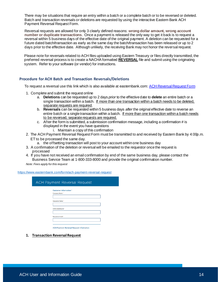There may be situations that require an entry within a batch or a complete batch or to be reversed or deleted. Batch and transaction reversals or deletions are requested by using the interactive Eastern Bank ACH Payment Reversal Request Form.

Reversal requests are allowed for only 3 clearly defined reasons: **wrong dollar amount, wrong account number or duplicate transactions**. Once a payment is released the only way to get it back is to request a reversal within 5 business days of the effective date of the original payment. A deletion can be requested for a future dated batch/transaction as early as the same day the batch/transaction has been released or up to 2 days prior to the effective date. Although unlikely, the receiving Bank may not honor the reversal request.

Please note for reversals related to ACH files uploaded using Eastern Treasury or files directly transmitted, the preferred reversal process is to create a NACHA formatted **REVERSAL** file and submit using the originating system. Refer to your software (or vendor) for instructions.

#### **Procedure for ACH Batch and Transaction Reversals/Deletions**

To request a reversal use this link which is also available at easternbank.com[: ACH Reversal Request Form](https://www.easternbank.com/form/ach-payment-reversal-request)

- 1. Complete and submit the request online
	- a. **Deletions** can be requested up to 2 days *prior* to the effective date to **delete** an entire batch or a single transaction within a batch. If more than one transaction within a batch needs to be deleted, separate requests are required.
	- b. **Reversals** can be requested within 5 business days *after* the original effective date to reverse an entire batch or a single transaction within a batch. If more than one transaction within a batch needs to be reversed, separate requests are required.
	- c. After the form is submitted, a submission confirmation message, including a confirmation # is displayed in the event you have questions
		- i. Maintain a copy of this confirmation
- 2. The ACH Payment Reversal Request Form must be transmitted to and received by Eastern Bank by 4:00p.m. ET to be processed the same day.
	- a. the offsetting transaction will post to your account within one business day
- 3. A confirmation of the deletion or reversal will be emailed to the requestor once the request is processed
- 4. If you have not received an email confirmation by end of the same business day, please contact the Business Service Team at 1-800-333-8000 and provide the original confirmation number.
- *Note: Fees apply for this request*

<https://www.easternbank.com/form/ach-payment-reversal-request>

| <b>ACH Payment Reversal Request</b>             |
|-------------------------------------------------|
| <b>Customer Information *</b>                   |
| Company Name *                                  |
|                                                 |
|                                                 |
| <b>Requester Name *</b>                         |
|                                                 |
| Online Banking ID *                             |
|                                                 |
|                                                 |
| <b>Requester Email *</b>                        |
|                                                 |
|                                                 |
| <b>ACH Payment Reversal Request Information</b> |

**1. Transaction Reversal Request**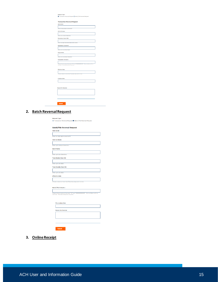| <b>Transaction Reversal Request</b><br>ACH CO ID<br>Enter ten digit alpha numerical ID<br><b>ACH CO Name</b><br>Enter up to sixteen characters.<br><b>Destination Bank ABA</b><br>Enter nine digit Destination Bank ABA number.<br><b>Destination Account #</b><br>Enter up to seventeen digits.<br><b>Payee Name</b><br>Enter up to seventeen characters.<br><b>Transaction Amounts</b><br>Please enter an amount between "Of" and "9999999999.99". Only numbers with no<br>commas. Two decimal points required.<br><b>Effective Date</b><br>Choose a date no more than 5 business days prior to now.<br><b>Creation Date</b><br><b>Reason for Reversal</b> |
|--------------------------------------------------------------------------------------------------------------------------------------------------------------------------------------------------------------------------------------------------------------------------------------------------------------------------------------------------------------------------------------------------------------------------------------------------------------------------------------------------------------------------------------------------------------------------------------------------------------------------------------------------------------|
|                                                                                                                                                                                                                                                                                                                                                                                                                                                                                                                                                                                                                                                              |
|                                                                                                                                                                                                                                                                                                                                                                                                                                                                                                                                                                                                                                                              |
|                                                                                                                                                                                                                                                                                                                                                                                                                                                                                                                                                                                                                                                              |
|                                                                                                                                                                                                                                                                                                                                                                                                                                                                                                                                                                                                                                                              |
|                                                                                                                                                                                                                                                                                                                                                                                                                                                                                                                                                                                                                                                              |
|                                                                                                                                                                                                                                                                                                                                                                                                                                                                                                                                                                                                                                                              |
|                                                                                                                                                                                                                                                                                                                                                                                                                                                                                                                                                                                                                                                              |
|                                                                                                                                                                                                                                                                                                                                                                                                                                                                                                                                                                                                                                                              |
|                                                                                                                                                                                                                                                                                                                                                                                                                                                                                                                                                                                                                                                              |
|                                                                                                                                                                                                                                                                                                                                                                                                                                                                                                                                                                                                                                                              |
|                                                                                                                                                                                                                                                                                                                                                                                                                                                                                                                                                                                                                                                              |
|                                                                                                                                                                                                                                                                                                                                                                                                                                                                                                                                                                                                                                                              |
|                                                                                                                                                                                                                                                                                                                                                                                                                                                                                                                                                                                                                                                              |
|                                                                                                                                                                                                                                                                                                                                                                                                                                                                                                                                                                                                                                                              |
|                                                                                                                                                                                                                                                                                                                                                                                                                                                                                                                                                                                                                                                              |
|                                                                                                                                                                                                                                                                                                                                                                                                                                                                                                                                                                                                                                                              |
|                                                                                                                                                                                                                                                                                                                                                                                                                                                                                                                                                                                                                                                              |
|                                                                                                                                                                                                                                                                                                                                                                                                                                                                                                                                                                                                                                                              |
|                                                                                                                                                                                                                                                                                                                                                                                                                                                                                                                                                                                                                                                              |
|                                                                                                                                                                                                                                                                                                                                                                                                                                                                                                                                                                                                                                                              |
|                                                                                                                                                                                                                                                                                                                                                                                                                                                                                                                                                                                                                                                              |
|                                                                                                                                                                                                                                                                                                                                                                                                                                                                                                                                                                                                                                                              |
|                                                                                                                                                                                                                                                                                                                                                                                                                                                                                                                                                                                                                                                              |
|                                                                                                                                                                                                                                                                                                                                                                                                                                                                                                                                                                                                                                                              |
|                                                                                                                                                                                                                                                                                                                                                                                                                                                                                                                                                                                                                                                              |
|                                                                                                                                                                                                                                                                                                                                                                                                                                                                                                                                                                                                                                                              |
|                                                                                                                                                                                                                                                                                                                                                                                                                                                                                                                                                                                                                                                              |
|                                                                                                                                                                                                                                                                                                                                                                                                                                                                                                                                                                                                                                                              |
|                                                                                                                                                                                                                                                                                                                                                                                                                                                                                                                                                                                                                                                              |
|                                                                                                                                                                                                                                                                                                                                                                                                                                                                                                                                                                                                                                                              |
|                                                                                                                                                                                                                                                                                                                                                                                                                                                                                                                                                                                                                                                              |
|                                                                                                                                                                                                                                                                                                                                                                                                                                                                                                                                                                                                                                                              |
|                                                                                                                                                                                                                                                                                                                                                                                                                                                                                                                                                                                                                                                              |

#### **2. Batch Reversal Request**

| <b>Batch/File Reversal Request</b><br><b>ACH CO ID</b>                         |
|--------------------------------------------------------------------------------|
|                                                                                |
| Enter ten digit alpha numerical ID                                             |
| <b>ACH CO Name</b>                                                             |
|                                                                                |
| Enter up to sixteen characters.                                                |
| <b>Batch Name</b>                                                              |
|                                                                                |
| Enter up to ten characters.                                                    |
| <b>Total Debits (Item Ct)</b>                                                  |
| Enter up to six digits.                                                        |
| <b>Total Credits (Item Ct)</b>                                                 |
|                                                                                |
| Enter up to six digits.                                                        |
| <b>Effective Date</b>                                                          |
|                                                                                |
| Choose a date no more than 5 business days prior to now.                       |
|                                                                                |
| <b>Batch/File Amount \$</b>                                                    |
| Please enter an amount between ".01" and "9999999999.99". Only numbers with no |
| commas. Two decimal points required.                                           |
|                                                                                |
|                                                                                |
| <b>File creation Date</b>                                                      |
|                                                                                |
| <b>Reason for Reversal</b>                                                     |
|                                                                                |
|                                                                                |
|                                                                                |

**3. Online Receipt**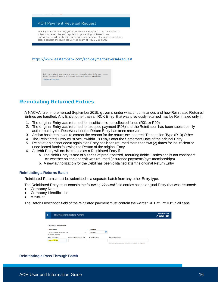#### **ACH Payment Reversal Request**

Thank you for submitting you ACH Reversal Request. This transaction is subject to bank rules and regulations governing such electronic transactions as described in our services agreement. If you have questions, please contact the Business Service Team at 1-800-333-8000.

<https://www.easternbank.com/ach-payment-reversal-request>

Before you submit your form, you may copy this confirmation ID for your records.<br>Please have this ID ready when inquiring about your reversal submission. 3cbadc91-19582d78

## <span id="page-15-0"></span>**Reinitiating Returned Entries**

A NACHA rule, implemented September 2015, governs under what circumstances and how Reinitiated Returned Entries are handled. Any Entry, other than an RCK Entry, that was previously returned may be Reinitiated only if:

- 1. The original Entry was returned for insufficient or uncollected funds (R01 or R90)
- 2. The original Entry was returned for stopped payment (R08) and the Reinitiation has been subsequently authorized by the Receiver after the Return Entry has been received
- 3. Action has been taken to correct the reason for the return; ex: incorrect Transaction Type (R10) Other
- 4. The Reinitiated Entry must occur within 180 days after the Settlement Date of the original Entry
- 5. Reinitiation cannot occur again if an Entry has been returned more than two (2) times for insufficient or uncollected funds following the Return of the original Entry
- 6. A debit Entry will not be treated as a Reinitiated Entry if
	- a. The debit Entry is one of a series of preauthorized, recurring debits Entries and is not contingent on whether an earlier debit was returned (insurance payments/gym memberships)
	- b. A new authorization for the Debit has been obtained after the original Return Entry

#### **Reinitiating a Returns Batch**

Reinitiated Returns must be submitted in a separate batch from any other Entry type.

The Reinitiated Entry must contain the following *identical* field entries as the original Entry that was returned:

- Company Name
- Company Identification
- Amount

The Batch Description field of the reinitiated payment must contain the words "RETRY PYMT" in all caps.

| $\leftarrow$ |                               | <b>New Consumer Collections Payment</b> |                         |   |                                                                 | <b>Payment Total</b><br><b>0.00 USD</b> |
|--------------|-------------------------------|-----------------------------------------|-------------------------|---|-----------------------------------------------------------------|-----------------------------------------|
|              | <b>Originator Information</b> |                                         |                         |   |                                                                 |                                         |
|              | * Originator ID               |                                         | * Value Date            |   |                                                                 |                                         |
|              | ACH COMPANY 2-1031456759      | $\;$                                    | 10/19/2021              | 曲 |                                                                 |                                         |
|              | No Balance Available          |                                         |                         |   |                                                                 |                                         |
|              | <b>Batch Description</b>      | <b>Company Discretionary Data</b>       | <b>Descriptive Date</b> |   | <b>Internal Comments</b>                                        |                                         |
|              | <b>RETRY PYMT</b>             |                                         |                         |   | Stored with the transaction, but not forwarded with the payment |                                         |

#### **Reinitiating a Pass Through Batch**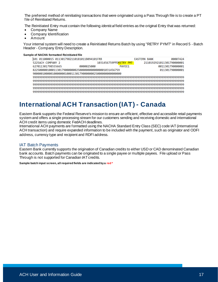The preferred method of reinitiating transactions that were originated using a Pass Through file is to create a PT file of Reinitiated Returns.

The Reinitiated Entry must contain the following *identical* field entries as the original Entry that was returned:

- Company Name
- Company Identification
- Amount

Your internal system will need to create a Reinitiated Returns Batch by using "RETRY PYMT" in Record 5 - Batch Header - Company Entry Description.

#### **Sample of NACHA formatted Reinitiated file**

| 101 011000015 0113017982110181011B094101FRB             |            |                        | <b>EASTERN BANK</b> | 00007424                  |
|---------------------------------------------------------|------------|------------------------|---------------------|---------------------------|
| 5225ACH COMPANY 2                                       |            | 1031456759PPDRETRY PMT |                     | 2110192921011301790000001 |
| 627011301798555665                                      | 0000025000 | PAYFF1                 |                     | 0011301790000001          |
| 8225000001000113017900000002500000000000000001031456759 |            |                        |                     | 011301790000001           |
| 90000010000100000010001130179000000025000000000000000   |            |                        |                     |                           |
|                                                         |            |                        |                     |                           |
|                                                         |            |                        |                     |                           |
|                                                         |            |                        |                     |                           |
|                                                         |            |                        |                     |                           |
|                                                         |            |                        |                     |                           |

## <span id="page-16-0"></span>**International ACH Transaction (IAT) - Canada**

Eastern Bank supports the Federal Reserve's mission to ensure an efficient, effective and accessible retail payments system and offers a single processing stream for our customers sending and receiving domestic and international ACH credit items using domestic FedACH deadlines.

International ACH payments are formatted using the NACHA Standard Entry Class (SEC) code IAT (international ACH transaction) and require expanded information to be included with the payment, such as originator and ODFI address, currency type and recipient and RDFI address.

#### <span id="page-16-1"></span>IAT Batch Payments

Eastern Bank currently supports the origination of Canadian credits to either USD or CAD denominated Canadian bank accounts. Batch payments can be originated to a single payee or multiple payees. File upload or Pass Through is not supported for Canadian IAT credits.

**Sample batch input screen, all required fields are indicated by a red \***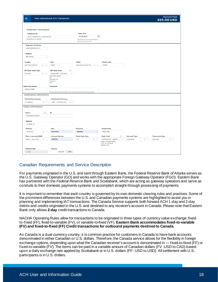| $\leftarrow$                                                                                         | <b>New International ACH Transaction</b>                                             |                                                                                        |                                                                                           |                               | <b>Payment Total</b><br><b>225.00 USD</b> |
|------------------------------------------------------------------------------------------------------|--------------------------------------------------------------------------------------|----------------------------------------------------------------------------------------|-------------------------------------------------------------------------------------------|-------------------------------|-------------------------------------------|
| <b>Originator Information</b><br>* Originator ID<br>ACH COMPANY 2-1031456759<br>No Balance Available | $\mathbf v$                                                                          | * Value Date<br>曲<br>10/19/2021<br>Payment must be approved by<br>10/19/2021 18:00 EDT |                                                                                           |                               |                                           |
| * Originator Full Name                                                                               |                                                                                      |                                                                                        |                                                                                           |                               |                                           |
| <b>ACH COMPANY 2</b>                                                                                 |                                                                                      |                                                                                        |                                                                                           |                               |                                           |
| * Address                                                                                            |                                                                                      |                                                                                        |                                                                                           |                               |                                           |
| <b>EB Street</b>                                                                                     |                                                                                      |                                                                                        |                                                                                           |                               |                                           |
|                                                                                                      |                                                                                      | * State                                                                                | * Postal code                                                                             |                               |                                           |
| <b>Country</b><br><b>UNITED STATES</b><br>$\times$ $^{-}$                                            | * City<br>Lynn                                                                       | <b>MASSACHUSETTS</b><br>$\times$ $ \tau$                                               | 01901                                                                                     |                               |                                           |
|                                                                                                      |                                                                                      |                                                                                        |                                                                                           |                               |                                           |
| * DFI Bank Code Type<br><b>US-ACH</b><br>$\times$ $ \times$                                          | * DFI Bank Code<br>$\alpha$<br>011301798 - EASTER<br>$\mathbf{v}$                    |                                                                                        |                                                                                           |                               |                                           |
| <b>Batch Description</b>                                                                             | <b>EASTERN BANK</b><br><b>US</b><br>108 Main St<br>Kingston<br>MA<br><b>Comments</b> |                                                                                        |                                                                                           |                               |                                           |
| <b>INTACHTRN</b>                                                                                     | Stored with the transaction, but not forwarded with the payment                      |                                                                                        |                                                                                           |                               |                                           |
| <b>Destination Information</b>                                                                       |                                                                                      |                                                                                        |                                                                                           |                               |                                           |
| <b>* Destination Country</b>                                                                         | * Destination Currency                                                               |                                                                                        |                                                                                           |                               |                                           |
| CANADA<br>$\times$ $\hspace{0.1cm}$ $\hspace{0.1cm}$                                                 | <b>USD - US DOLLAR</b><br>$\times$ $\times$                                          |                                                                                        |                                                                                           |                               |                                           |
| <b>Payee Information</b>                                                                             |                                                                                      |                                                                                        |                                                                                           |                               |                                           |
|                                                                                                      |                                                                                      |                                                                                        |                                                                                           |                               |                                           |
| * Name<br>Q                                                                                          | ID                                                                                   |                                                                                        |                                                                                           |                               |                                           |
| Canadian Payee1                                                                                      |                                                                                      |                                                                                        |                                                                                           |                               |                                           |
| * Address                                                                                            |                                                                                      |                                                                                        |                                                                                           |                               |                                           |
| 33 Main St                                                                                           |                                                                                      |                                                                                        |                                                                                           |                               |                                           |
| * Country                                                                                            | * City                                                                               | * Province                                                                             | * Postal Code                                                                             |                               |                                           |
| CANADA<br>$\times$ $^{-}$                                                                            | Montreal                                                                             | Quebec                                                                                 | 44m 09u                                                                                   |                               |                                           |
| * Bank + Account/IBAN                                                                                | * Account Number                                                                     | <b>Bank Code Type</b>                                                                  | * Bank Code<br>$\mathsf Q$                                                                | <b>Account Type</b>           | <b>* Transaction Type</b>                 |
| <b>Bank + Account</b><br>$\times$ $\times$                                                           | 555665                                                                               | CA<br>$\times$ $\times$                                                                | 000100075 - BANK<br>$\tau$<br><b>BANK OF MONTREAL</b><br>1181 Av. Turnbull<br>Quebec City | Checking<br>$\times$ $\times$ | <b>Deposit</b><br>$\times$ $\times$       |
| * Debit/Credit                                                                                       | * Amount                                                                             |                                                                                        |                                                                                           |                               |                                           |
| Credit<br>$\overline{\phantom{a}}$                                                                   | 225.00<br><b>USD</b>                                                                 |                                                                                        |                                                                                           |                               |                                           |

#### <span id="page-17-0"></span>Canadian Requirements and Service Description

For payments originated in the U.S. and sent through Eastern Bank, the Federal Reserve Bank of Atlanta serves as the U.S. Gateway Operator (GO) and works with the appropriate Foreign Gateway Operator (FGO). Eastern Bank has partnered with the *Federal Reserve Bank and Scotiabank*, which are acting as gateway operators and serve as conduits to their domestic payments systems to accomplish straight-through processing of payments.

It is important to remember that each country is governed by its own domestic clearing rules and practices. Some of the prominent differences between the U.S. and Canadian payments systems are highlighted to assist you in planning and implementing IAT transactions. The Canada Service supports both forward ACH 1-day and 2-day debits and credits originated in the U.S. and destined to any receiver's account in Canada. Please note that Eastern Bank only allows **2-day** credit transactions to Canada.

NACHA Operating Rules allow for transactions to be originated in three types of currency value exchange: fixedto-fixed (FF), fixed-to-variable (FV), or variable-to-fixed (VF). **Eastern Bank accommodates fixed-to-variable (FV) and fixed-to-fixed (FF) Credit transactions for outbound payments destined to Canada.**

As Canada is a dual-currency country, it is common practice for customers in Canada to have bank accounts denominated in either Canadian or U.S. dollars. Therefore, the Canada service allows for the flexibility in foreign exchange options, depending upon what the Canadian receiver's account is denominated in — fixed-to-fixed (FF) or fixed-to-variable (FV). The items can be paid in a variable amount of Canadian dollars (FV -USD to CAD) based upon a daily exchange rate applied by Scotiabank or in U.S. dollars (FF- USD to USD). All settlement with U.S. participants is in U.S. dollars.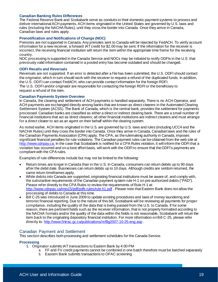#### **Canadian Banking Rules Differences**

The Federal Reserve Bank and Scotiabank serve as conduits to their domestic payment systems to process and deliver international ACH payments. ACH items originated in the United States are governed by U.S. laws and rules (including the NACHA Rules), until they cross the border into Canada. Once they arrive in Canada, Canadian laws and rules apply.

#### **Prenotification and Notifications of Change (NOC)**

Prenotes are not supported in Canada. Any prenotes sent to Canada will be rejected by FedACH. To verify account information for a new receiver, a forward IAT credit for \$2.00 may be sent. If the information for the receiver is incorrect, the receiving financial institution will return the item within the appropriate time frame for the receiving country.

NOC processing is supported in the Canada Service and NOCs may be initiated to notify ODFIs in the U.S. that previously valid information contained in a posted entry has become outdated and should be changed.

#### **ODFI Recalls and Reversals**

Reversals are not supported. If an error is detected after a file has been submitted, the U.S. ODFI should contact the originator, which in turn should work with the receiver to request a refund of the duplicated funds. In addition, the U.S. ODFI can contact FedACH, who can provide contact information for the foreign RDFI. The U.S. ODFI and/or originator are responsible for contacting the foreign RDFI or the beneficiary to request a refund of the item.

#### **Canadian Payments System Overview**

In Canada, the clearing and settlement of ACH payments is handled separately. There is no ACH Operator, and ACH payments are exchanged directly among banks that are known as direct clearers in the Automated Clearing Settlement System (ACSS). The Bank of Canada, which is the central bank, provides the settlement for payments processed. Canadian banks are classified as either a direct or indirect clearing bank. There are a small number of financial institutions that act as direct clearers; all other financial institutions are indirect clearers and must arrange for a direct clearer to act as an agent on their behalf within the clearing system.

As noted earlier, ACH items originated in the U.S. are governed by U.S. laws and rules (including UCC4 and the NACHA Rules) until they cross the border into Canada. Once they arrive in Canada, Canadian laws and the rules of the Canadian Payments Association (CPA) apply. The CPA, as the rulemaking authority in Canada, imposes significant financial penalties for rule violations. The Canadian payment rules can be obtained from the web site at [http://www.cdnpay.ca](http://www.cdnpay.ca/). In the case that Scotiabank is notified for a CPA Rules violation, it will inform the ODFI that a violation has occurred and on a best effort basis, will work with the ODFI to ensure that the ODFI's payments are compliant with the CPA rules.

Examples of rule differences include but may not be limited to the following:

- Return times are longer in Canada than in the U.S. In Canada, consumers can return debits up to 90 days after the debit date. Businesses can return debits up to 10 days. Although credits are seldom returned, the same return timeframes apply.
- While debits into Canada are supported, originating financial institutions must be aware of, and comply with, the substantive requirements of the Canadian payment system rule H-1 on pre-authorized debits ("PAD"). Please refer directly to the CPA Rules to review the requirements of Rule H-1 at: <http://www.cdnpay.ca/imis15/pdf/pdfs> rules/rule h1.pdf . Please note that Eastern Bank does not allow the processing of debits to Canada at this time.
- Bill C-25 was introduced in June 2009 to update existing procedures and laws of money laundering and terrorist financial reporting. Due to the nature of this bill, Scotiabank will be reviewing all payments for proper compliance, including the quality of the data that is being passed from the U.S. to Canada. If for some reason, there are pertinent fields such as the receiver information, that is not properly formatted according to the NACHA formats and/or the quality of the data within the fields is not reasonable, Scotiabank will return the item back to the originating depository financial institution. For more information on Bill C-25, please refer directly to[: http://www.fintrac.gc.ca/publications/nr/Bg2007-10-25-eng.asp](http://www.fintrac.gc.ca/publications/nr/Bg2007-10-25-eng.asp) .

#### <span id="page-18-0"></span>Canadian Payment and Settlement

This section describes both processing and settlement schedules for the Canada Service.

#### **Processing**

- 1. Originator submits IAT transactions to Eastern Bank by 4:00 PM
	- a. FF and FV credit payments cannot be combined in one batch therefore must be batched separately
	- b. Eastern Bank submits transactions to OFAC screening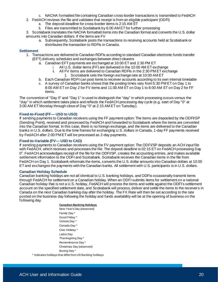- c. NACHA formatted file containing Canadian cross-border transactions is transmitted to FedACH
- 2. FedACH reviews the file and validates that receipt is from an eligible participant (ODFI)
	- a. The deposit deadline for cross-border items is 2:15 AM ET
	- b. Files are transmitted to Scotiabank by 6:00 AM ET for further processing

3. Scotiabank translates the NACHA formatted items into the Canadian format and converts the U.S. dollar amounts into Canadian dollars. If the items are FV

a. Subsequently, Scotiabank posts the transactions to receiving accounts held at Scotiabank or distributes the transaction to RDFIs in Canada.

#### **Settlement**

- 1. Transactions are delivered to Canadian RDFIs according to standard Canadian electronic funds transfer (EFT) delivery schedules and exchanges between direct clearers
	- a. Canadian EFT payments are exchanged at 10:00 ET and 2:30 PM ET
		- i. All U.S. dollar items (FF) are delivered in the 10:00 AM ET exchange
		- ii. All FV items are delivered to Canadian RDFIs in the 2:30 PM ET exchange 1. Scotiabank sets the foreign exchange rate at 10:00 AM ET
	- b. Each Canadian RDFI can post items to receiver accounts according to its own internal timetable
	- c. A survey of Canadian banks shows that the posting times vary from 5:30 PM ET on Day 1 to 8:00 AM ET on Day 2 for FV items and 11:00 AM ET on Day 1 to 8:00 AM ET on Day 2 for FF items.

The convention of "Day 0" and "Day 1" is used to distinguish the "day" in which processing occurs versus the "day" in which settlement takes place and reflects the FedACH processing day cycle (e.g. start of Day "0" at 3:00 AM ET Monday through close of Day "0" at 2:15 AM ET on Tuesday).

#### **Fixed-to-Fixed (FF— USD to USD)**

If sending payments to Canadian receivers using the FF payment option: The items are deposited by the ODFI/SP (Sending Point), received and processed by FedACH and forwarded to Scotiabank where the items are converted into the Canadian format. In this case, there is no foreign exchange, and the items are delivered to the Canadian banks in U.S. dollars. Due to the time frames for exchanging U.S. dollars in Canada, 1-day FF payments received by FedACH after 2:00 PM ET will be processed as 2-day payments.

#### **Fixed-to-Variable (FV— USD to CAD)**

If sending payments to Canadian receivers using the FV payment option: The ODFI/SP deposits an ACH input file with FedACH, which receives and processes the file. The deposit deadline is 02:15 ET on FedACH processing Day 0<sup>4</sup>. FedACH acknowledges receipt of the file for the ODFI/SP, creates the accounting entries, and makes available settlement information to the ODFI and Scotiabank. Scotiabank receives the Canadian items in the file from FedACH on Day 1. Scotiabank reformats the items, converts the U.S. dollar amounts into Canadian dollars at 10:00 ET and exchanges the payments with the Canadian banks. All settlement with U.S. participants is in U.S. dollars.

#### **Canadian Holiday Schedule**

Canadian banking holidays are not all identical to U.S. banking holidays, and ODFIs occasionally transmit items through FedACH for settlement on a Canadian holiday. When an ODFI submits items for settlement on a national Canadian holiday that is not a U.S. holiday, FedACH will process the items and settle against the ODFI's settlement account on the specified settlement date, and Scotiabank will process, deliver and settle the items to the receivers in Canada on the next Canadian banking day after the holiday. The FX Rate will then be set according to the rate posted on the business day following the holiday and funds availability will be at the opening of business on the following day.

#### **Canadian Banking Holidays**

New Year's Day (observed) Family Day \* Good Friday \* Victoria Day \* Canada Day \* Civic Holiday \* Labor Day Thanksgiving Day \* Remembrance Day \* Christmas Day (observed) Boxing Day \*

\* Indicates holidays that differ from US Banking holidays